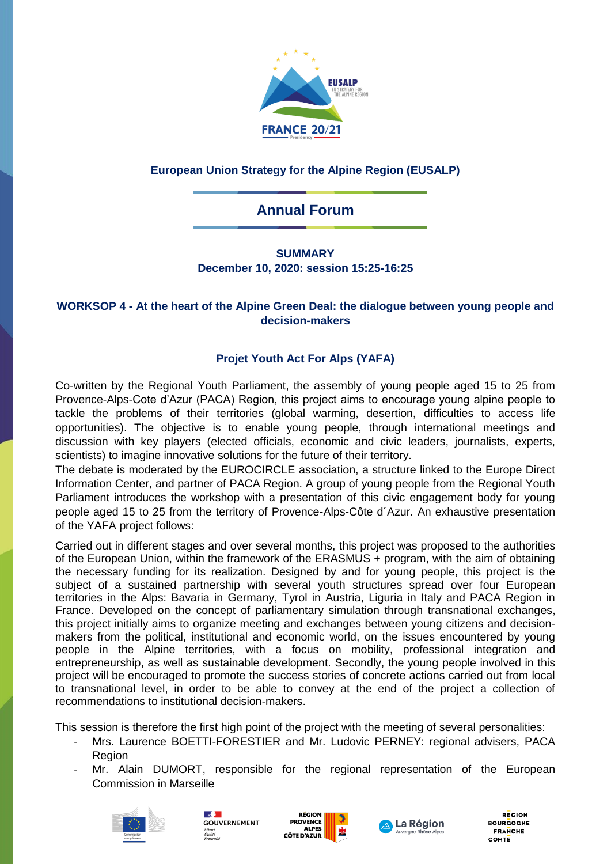

## **European Union Strategy for the Alpine Region (EUSALP)**

# **Annual Forum**

### **SUMMARY December 10, 2020: session 15:25-16:25**

#### **WORKSOP 4 - At the heart of the Alpine Green Deal: the dialogue between young people and decision-makers**

## **Projet Youth Act For Alps (YAFA)**

Co-written by the Regional Youth Parliament, the assembly of young people aged 15 to 25 from Provence-Alps-Cote d'Azur (PACA) Region, this project aims to encourage young alpine people to tackle the problems of their territories (global warming, desertion, difficulties to access life opportunities). The objective is to enable young people, through international meetings and discussion with key players (elected officials, economic and civic leaders, journalists, experts, scientists) to imagine innovative solutions for the future of their territory.

The debate is moderated by the EUROCIRCLE association, a structure linked to the Europe Direct Information Center, and partner of PACA Region. A group of young people from the Regional Youth Parliament introduces the workshop with a presentation of this civic engagement body for young people aged 15 to 25 from the territory of Provence-Alps-Côte d´Azur. An exhaustive presentation of the YAFA project follows:

Carried out in different stages and over several months, this project was proposed to the authorities of the European Union, within the framework of the ERASMUS + program, with the aim of obtaining the necessary funding for its realization. Designed by and for young people, this project is the subject of a sustained partnership with several youth structures spread over four European territories in the Alps: Bavaria in Germany, Tyrol in Austria, Liguria in Italy and PACA Region in France. Developed on the concept of parliamentary simulation through transnational exchanges, this project initially aims to organize meeting and exchanges between young citizens and decisionmakers from the political, institutional and economic world, on the issues encountered by young people in the Alpine territories, with a focus on mobility, professional integration and entrepreneurship, as well as sustainable development. Secondly, the young people involved in this project will be encouraged to promote the success stories of concrete actions carried out from local to transnational level, in order to be able to convey at the end of the project a collection of recommendations to institutional decision-makers.

This session is therefore the first high point of the project with the meeting of several personalities:

- Mrs. Laurence BOETTI-FORESTIER and Mr. Ludovic PERNEY: regional advisers, PACA Region
- Mr. Alain DUMORT, responsible for the regional representation of the European Commission in Marseille









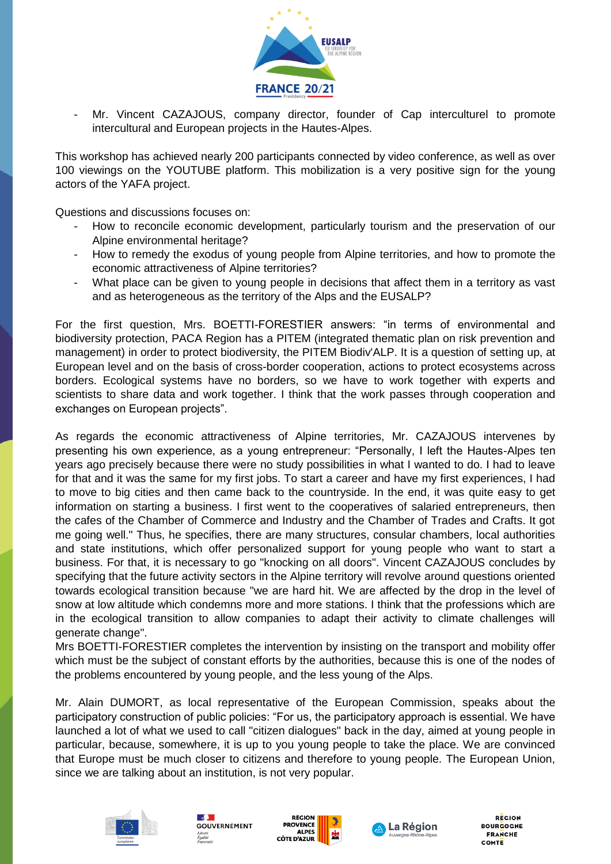

Mr. Vincent CAZAJOUS, company director, founder of Cap interculturel to promote intercultural and European projects in the Hautes-Alpes.

This workshop has achieved nearly 200 participants connected by video conference, as well as over 100 viewings on the YOUTUBE platform. This mobilization is a very positive sign for the young actors of the YAFA project.

Questions and discussions focuses on:

- How to reconcile economic development, particularly tourism and the preservation of our Alpine environmental heritage?
- How to remedy the exodus of young people from Alpine territories, and how to promote the economic attractiveness of Alpine territories?
- What place can be given to young people in decisions that affect them in a territory as vast and as heterogeneous as the territory of the Alps and the EUSALP?

For the first question, Mrs. BOETTI-FORESTIER answers: "in terms of environmental and biodiversity protection, PACA Region has a PITEM (integrated thematic plan on risk prevention and management) in order to protect biodiversity, the PITEM Biodiv'ALP. It is a question of setting up, at European level and on the basis of cross-border cooperation, actions to protect ecosystems across borders. Ecological systems have no borders, so we have to work together with experts and scientists to share data and work together. I think that the work passes through cooperation and exchanges on European projects".

As regards the economic attractiveness of Alpine territories, Mr. CAZAJOUS intervenes by presenting his own experience, as a young entrepreneur: "Personally, I left the Hautes-Alpes ten years ago precisely because there were no study possibilities in what I wanted to do. I had to leave for that and it was the same for my first jobs. To start a career and have my first experiences, I had to move to big cities and then came back to the countryside. In the end, it was quite easy to get information on starting a business. I first went to the cooperatives of salaried entrepreneurs, then the cafes of the Chamber of Commerce and Industry and the Chamber of Trades and Crafts. It got me going well." Thus, he specifies, there are many structures, consular chambers, local authorities and state institutions, which offer personalized support for young people who want to start a business. For that, it is necessary to go "knocking on all doors". Vincent CAZAJOUS concludes by specifying that the future activity sectors in the Alpine territory will revolve around questions oriented towards ecological transition because "we are hard hit. We are affected by the drop in the level of snow at low altitude which condemns more and more stations. I think that the professions which are in the ecological transition to allow companies to adapt their activity to climate challenges will generate change".

Mrs BOETTI-FORESTIER completes the intervention by insisting on the transport and mobility offer which must be the subject of constant efforts by the authorities, because this is one of the nodes of the problems encountered by young people, and the less young of the Alps.

Mr. Alain DUMORT, as local representative of the European Commission, speaks about the participatory construction of public policies: "For us, the participatory approach is essential. We have launched a lot of what we used to call "citizen dialogues" back in the day, aimed at young people in particular, because, somewhere, it is up to you young people to take the place. We are convinced that Europe must be much closer to citizens and therefore to young people. The European Union, since we are talking about an institution, is not very popular.









**REGION BOURCOCNE FRANCHE** COMTE